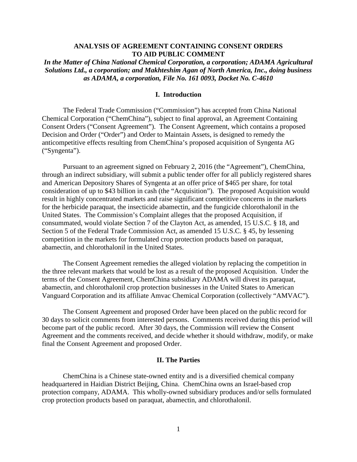# **ANALYSIS OF AGREEMENT CONTAINING CONSENT ORDERS TO AID PUBLIC COMMENT**

*In the Matter of China National Chemical Corporation, a corporation; ADAMA Agricultural Solutions Ltd., a corporation; and Makhteshim Agan of North America, Inc., doing business as ADAMA, a corporation, File No. 161 0093, Docket No. C-4610*

### **I. Introduction**

The Federal Trade Commission ("Commission") has accepted from China National Chemical Corporation ("ChemChina"), subject to final approval, an Agreement Containing Consent Orders ("Consent Agreement"). The Consent Agreement, which contains a proposed Decision and Order ("Order") and Order to Maintain Assets, is designed to remedy the anticompetitive effects resulting from ChemChina's proposed acquisition of Syngenta AG ("Syngenta").

Pursuant to an agreement signed on February 2, 2016 (the "Agreement"), ChemChina, through an indirect subsidiary, will submit a public tender offer for all publicly registered shares and American Depository Shares of Syngenta at an offer price of \$465 per share, for total consideration of up to \$43 billion in cash (the "Acquisition"). The proposed Acquisition would result in highly concentrated markets and raise significant competitive concerns in the markets for the herbicide paraquat, the insecticide abamectin, and the fungicide chlorothalonil in the United States. The Commission's Complaint alleges that the proposed Acquisition, if consummated, would violate Section 7 of the Clayton Act, as amended, 15 U.S.C. § 18, and Section 5 of the Federal Trade Commission Act, as amended 15 U.S.C. § 45, by lessening competition in the markets for formulated crop protection products based on paraquat, abamectin, and chlorothalonil in the United States.

The Consent Agreement remedies the alleged violation by replacing the competition in the three relevant markets that would be lost as a result of the proposed Acquisition. Under the terms of the Consent Agreement, ChemChina subsidiary ADAMA will divest its paraquat, abamectin, and chlorothalonil crop protection businesses in the United States to American Vanguard Corporation and its affiliate Amvac Chemical Corporation (collectively "AMVAC").

The Consent Agreement and proposed Order have been placed on the public record for 30 days to solicit comments from interested persons. Comments received during this period will become part of the public record. After 30 days, the Commission will review the Consent Agreement and the comments received, and decide whether it should withdraw, modify, or make final the Consent Agreement and proposed Order.

# **II. The Parties**

ChemChina is a Chinese state-owned entity and is a diversified chemical company headquartered in Haidian District Beijing, China. ChemChina owns an Israel-based crop protection company, ADAMA. This wholly-owned subsidiary produces and/or sells formulated crop protection products based on paraquat, abamectin, and chlorothalonil.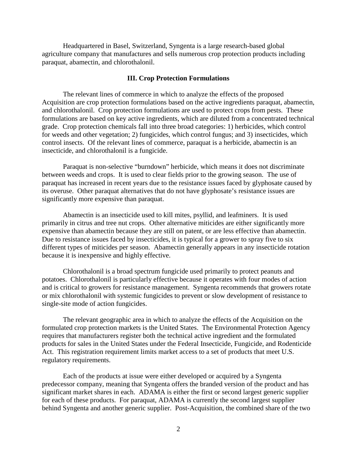Headquartered in Basel, Switzerland, Syngenta is a large research-based global agriculture company that manufactures and sells numerous crop protection products including paraquat, abamectin, and chlorothalonil.

### **III. Crop Protection Formulations**

The relevant lines of commerce in which to analyze the effects of the proposed Acquisition are crop protection formulations based on the active ingredients paraquat, abamectin, and chlorothalonil. Crop protection formulations are used to protect crops from pests. These formulations are based on key active ingredients, which are diluted from a concentrated technical grade. Crop protection chemicals fall into three broad categories: 1) herbicides, which control for weeds and other vegetation; 2) fungicides, which control fungus; and 3) insecticides, which control insects. Of the relevant lines of commerce, paraquat is a herbicide, abamectin is an insecticide, and chlorothalonil is a fungicide.

Paraquat is non-selective "burndown" herbicide, which means it does not discriminate between weeds and crops. It is used to clear fields prior to the growing season. The use of paraquat has increased in recent years due to the resistance issues faced by glyphosate caused by its overuse. Other paraquat alternatives that do not have glyphosate's resistance issues are significantly more expensive than paraquat.

Abamectin is an insecticide used to kill mites, psyllid, and leafminers. It is used primarily in citrus and tree nut crops. Other alternative miticides are either significantly more expensive than abamectin because they are still on patent, or are less effective than abamectin. Due to resistance issues faced by insecticides, it is typical for a grower to spray five to six different types of miticides per season. Abamectin generally appears in any insecticide rotation because it is inexpensive and highly effective.

Chlorothalonil is a broad spectrum fungicide used primarily to protect peanuts and potatoes. Chlorothalonil is particularly effective because it operates with four modes of action and is critical to growers for resistance management. Syngenta recommends that growers rotate or mix chlorothalonil with systemic fungicides to prevent or slow development of resistance to single-site mode of action fungicides.

The relevant geographic area in which to analyze the effects of the Acquisition on the formulated crop protection markets is the United States. The Environmental Protection Agency requires that manufacturers register both the technical active ingredient and the formulated products for sales in the United States under the Federal Insecticide, Fungicide, and Rodenticide Act. This registration requirement limits market access to a set of products that meet U.S. regulatory requirements.

Each of the products at issue were either developed or acquired by a Syngenta predecessor company, meaning that Syngenta offers the branded version of the product and has significant market shares in each. ADAMA is either the first or second largest generic supplier for each of these products. For paraquat, ADAMA is currently the second largest supplier behind Syngenta and another generic supplier. Post-Acquisition, the combined share of the two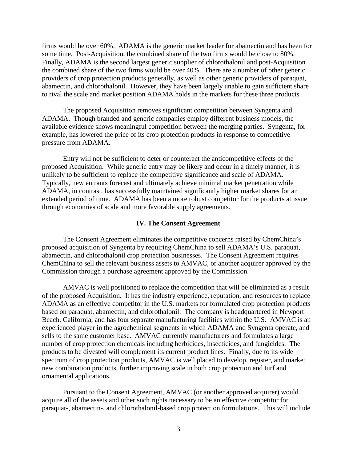firms would be over 60%. ADAMA is the generic market leader for abamectin and has been for some time. Post-Acquisition, the combined share of the two firms would be close to 80%. Finally, ADAMA is the second largest generic supplier of chlorothalonil and post-Acquisition the combined share of the two firms would be over 40%. There are a number of other generic providers of crop protection products generally, as well as other generic providers of paraquat, abamectin, and chlorothalonil. However, they have been largely unable to gain sufficient share to rival the scale and market position ADAMA holds in the markets for these three products.

The proposed Acquisition removes significant competition between Syngenta and ADAMA. Though branded and generic companies employ different business models, the available evidence shows meaningful competition between the merging parties. Syngenta, for example, has lowered the price of its crop protection products in response to competitive pressure from ADAMA.

Entry will not be sufficient to deter or counteract the anticompetitive effects of the proposed Acquisition. While generic entry may be likely and occur in a timely manner, it is unlikely to be sufficient to replace the competitive significance and scale of ADAMA. Typically, new entrants forecast and ultimately achieve minimal market penetration while ADAMA, in contrast, has successfully maintained significantly higher market shares for an extended period of time. ADAMA has been a more robust competitor for the products at issue through economies of scale and more favorable supply agreements.

#### **IV. The Consent Agreement**

The Consent Agreement eliminates the competitive concerns raised by ChemChina's proposed acquisition of Syngenta by requiring ChemChina to sell ADAMA's U.S. paraquat, abamectin, and chlorothalonil crop protection businesses. The Consent Agreement requires ChemChina to sell the relevant business assets to AMVAC, or another acquirer approved by the Commission through a purchase agreement approved by the Commission.

AMVAC is well positioned to replace the competition that will be eliminated as a result of the proposed Acquisition. It has the industry experience, reputation, and resources to replace ADAMA as an effective competitor in the U.S. markets for formulated crop protection products based on paraquat, abamectin, and chlorothalonil. The company is headquartered in Newport Beach, California, and has four separate manufacturing facilities within the U.S. AMVAC is an experienced player in the agrochemical segments in which ADAMA and Syngenta operate, and sells to the same customer base. AMVAC currently manufacturers and formulates a large number of crop protection chemicals including herbicides, insecticides, and fungicides. The products to be divested will complement its current product lines. Finally, due to its wide spectrum of crop protection products, AMVAC is well placed to develop, register, and market new combination products, further improving scale in both crop protection and turf and ornamental applications.

Pursuant to the Consent Agreement, AMVAC (or another approved acquirer) would acquire all of the assets and other such rights necessary to be an effective competitor for paraquat-, abamectin-, and chlorothalonil-based crop protection formulations. This will include